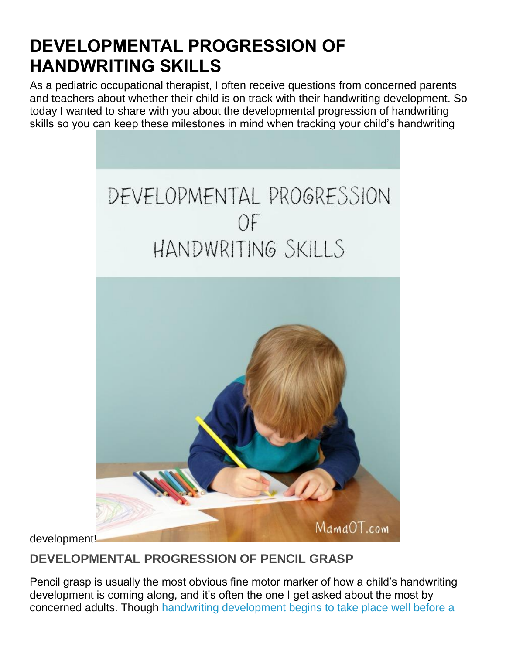# **DEVELOPMENTAL PROGRESSION OF HANDWRITING SKILLS**

As a pediatric occupational therapist, I often receive questions from concerned parents and teachers about whether their child is on track with their handwriting development. So today I wanted to share with you about the developmental progression of handwriting skills so you can keep these milestones in mind when tracking your child's handwriting





development!

### **DEVELOPMENTAL PROGRESSION OF PENCIL GRASP**

Pencil grasp is usually the most obvious fine motor marker of how a child's handwriting development is coming along, and it's often the one I get asked about the most by concerned adults. Though [handwriting development begins to take place well before](http://mamaot.com/handwriting-mastery-begins-before-the-introduction-of-the-pencil/) a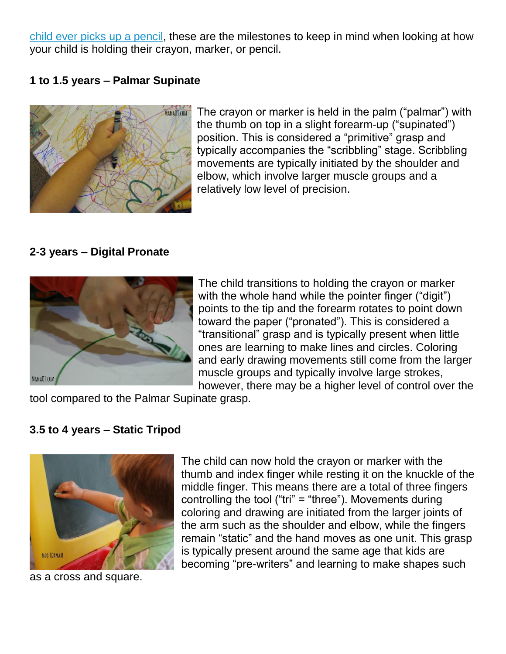[child ever picks up a pencil,](http://mamaot.com/handwriting-mastery-begins-before-the-introduction-of-the-pencil/) these are the milestones to keep in mind when looking at how your child is holding their crayon, marker, or pencil.

### **1 to 1.5 years – Palmar Supinate**



The crayon or marker is held in the palm ("palmar") with the thumb on top in a slight forearm-up ("supinated") position. This is considered a "primitive" grasp and typically accompanies the "scribbling" stage. Scribbling movements are typically initiated by the shoulder and elbow, which involve larger muscle groups and a relatively low level of precision.

### **2-3 years – Digital Pronate**



The child transitions to holding the crayon or marker with the whole hand while the pointer finger ("digit") points to the tip and the forearm rotates to point down toward the paper ("pronated"). This is considered a "transitional" grasp and is typically present when little ones are learning to make lines and circles. Coloring and early drawing movements still come from the larger muscle groups and typically involve large strokes, however, there may be a higher level of control over the

tool compared to the Palmar Supinate grasp.

### **3.5 to 4 years – Static Tripod**



as a cross and square.

The child can now hold the crayon or marker with the thumb and index finger while resting it on the knuckle of the middle finger. This means there are a total of three fingers controlling the tool ("tri" = "three"). Movements during coloring and drawing are initiated from the larger joints of the arm such as the shoulder and elbow, while the fingers remain "static" and the hand moves as one unit. This grasp is typically present around the same age that kids are becoming "pre-writers" and learning to make shapes such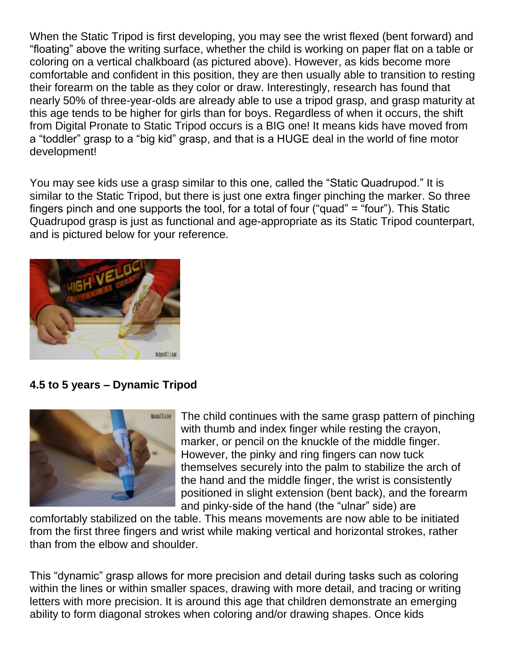When the Static Tripod is first developing, you may see the wrist flexed (bent forward) and "floating" above the writing surface, whether the child is working on paper flat on a table or coloring on a vertical chalkboard (as pictured above). However, as kids become more comfortable and confident in this position, they are then usually able to transition to resting their forearm on the table as they color or draw. Interestingly, research has found that nearly 50% of three-year-olds are already able to use a tripod grasp, and grasp maturity at this age tends to be higher for girls than for boys. Regardless of when it occurs, the shift from Digital Pronate to Static Tripod occurs is a BIG one! It means kids have moved from a "toddler" grasp to a "big kid" grasp, and that is a HUGE deal in the world of fine motor development!

You may see kids use a grasp similar to this one, called the "Static Quadrupod." It is similar to the Static Tripod, but there is just one extra finger pinching the marker. So three fingers pinch and one supports the tool, for a total of four ("quad" = "four"). This Static Quadrupod grasp is just as functional and age-appropriate as its Static Tripod counterpart, and is pictured below for your reference.



### **4.5 to 5 years – Dynamic Tripod**



The child continues with the same grasp pattern of pinching with thumb and index finger while resting the crayon, marker, or pencil on the knuckle of the middle finger. However, the pinky and ring fingers can now tuck themselves securely into the palm to stabilize the arch of the hand and the middle finger, the wrist is consistently positioned in slight extension (bent back), and the forearm and pinky-side of the hand (the "ulnar" side) are

comfortably stabilized on the table. This means movements are now able to be initiated from the first three fingers and wrist while making vertical and horizontal strokes, rather than from the elbow and shoulder.

This "dynamic" grasp allows for more precision and detail during tasks such as coloring within the lines or within smaller spaces, drawing with more detail, and tracing or writing letters with more precision. It is around this age that children demonstrate an emerging ability to form diagonal strokes when coloring and/or drawing shapes. Once kids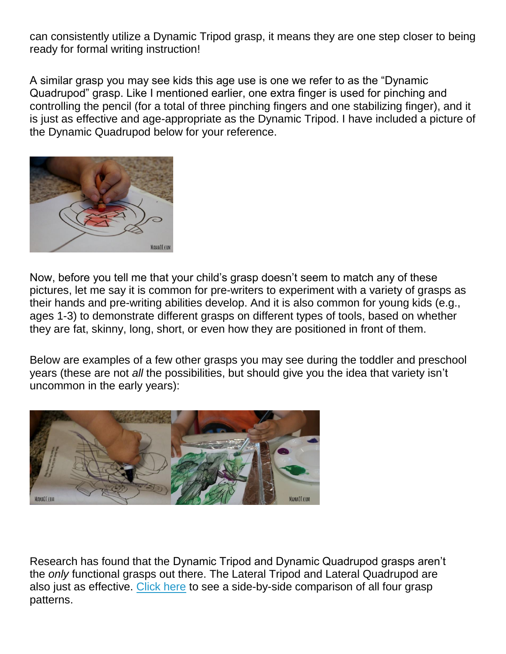can consistently utilize a Dynamic Tripod grasp, it means they are one step closer to being ready for formal writing instruction!

A similar grasp you may see kids this age use is one we refer to as the "Dynamic Quadrupod" grasp. Like I mentioned earlier, one extra finger is used for pinching and controlling the pencil (for a total of three pinching fingers and one stabilizing finger), and it is just as effective and age-appropriate as the Dynamic Tripod. I have included a picture of the Dynamic Quadrupod below for your reference.



Now, before you tell me that your child's grasp doesn't seem to match any of these pictures, let me say it is common for pre-writers to experiment with a variety of grasps as their hands and pre-writing abilities develop. And it is also common for young kids (e.g., ages 1-3) to demonstrate different grasps on different types of tools, based on whether they are fat, skinny, long, short, or even how they are positioned in front of them.

Below are examples of a few other grasps you may see during the toddler and preschool years (these are not *all* the possibilities, but should give you the idea that variety isn't uncommon in the early years):



Research has found that the Dynamic Tripod and Dynamic Quadrupod grasps aren't the *only* functional grasps out there. The Lateral Tripod and Lateral Quadrupod are also just as effective. [Click here](http://azopt.net/wp-content/uploads/2014/03/pencil-blog-1.jpg) to see a side-by-side comparison of all four grasp patterns.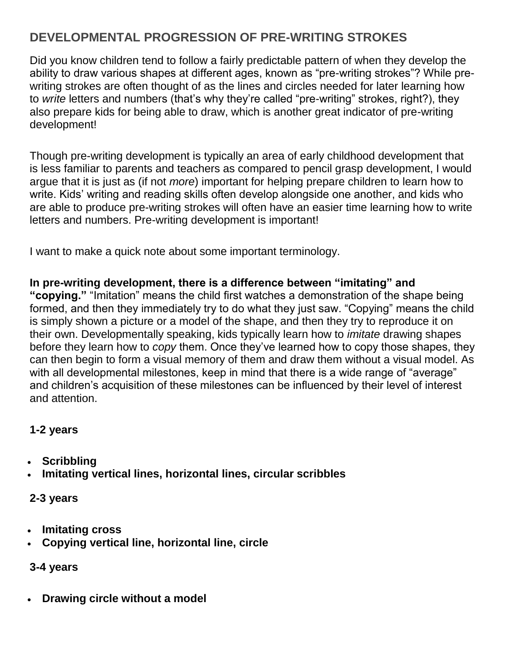## **DEVELOPMENTAL PROGRESSION OF PRE-WRITING STROKES**

Did you know children tend to follow a fairly predictable pattern of when they develop the ability to draw various shapes at different ages, known as "pre-writing strokes"? While prewriting strokes are often thought of as the lines and circles needed for later learning how to *write* letters and numbers (that's why they're called "pre-writing" strokes, right?), they also prepare kids for being able to draw, which is another great indicator of pre-writing development!

Though pre-writing development is typically an area of early childhood development that is less familiar to parents and teachers as compared to pencil grasp development, I would argue that it is just as (if not *more*) important for helping prepare children to learn how to write. Kids' writing and reading skills often develop alongside one another, and kids who are able to produce pre-writing strokes will often have an easier time learning how to write letters and numbers. Pre-writing development is important!

I want to make a quick note about some important terminology.

### **In pre-writing development, there is a difference between "imitating" and**

**"copying."** "Imitation" means the child first watches a demonstration of the shape being formed, and then they immediately try to do what they just saw. "Copying" means the child is simply shown a picture or a model of the shape, and then they try to reproduce it on their own. Developmentally speaking, kids typically learn how to *imitate* drawing shapes before they learn how to *copy* them. Once they've learned how to copy those shapes, they can then begin to form a visual memory of them and draw them without a visual model. As with all developmental milestones, keep in mind that there is a wide range of "average" and children's acquisition of these milestones can be influenced by their level of interest and attention.

### **1-2 years**

- **Scribbling**
- **Imitating vertical lines, horizontal lines, circular scribbles**

### **2-3 years**

- **Imitating cross**
- **Copying vertical line, horizontal line, circle**

### **3-4 years**

• **Drawing circle without a model**